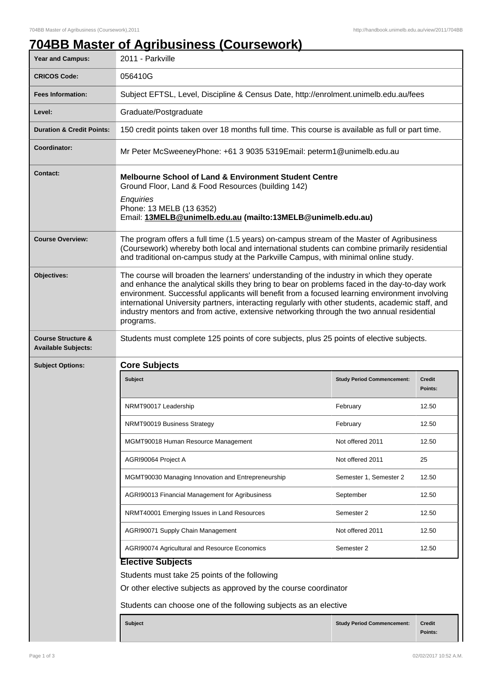## **704BB Master of Agribusiness (Coursework)**

| <b>Year and Campus:</b>                                     | -<br>2011 - Parkville                                                                                                                                                                                                                                                                                                                                                                                                                                                                                      |                                   |                          |  |
|-------------------------------------------------------------|------------------------------------------------------------------------------------------------------------------------------------------------------------------------------------------------------------------------------------------------------------------------------------------------------------------------------------------------------------------------------------------------------------------------------------------------------------------------------------------------------------|-----------------------------------|--------------------------|--|
| <b>CRICOS Code:</b>                                         | 056410G                                                                                                                                                                                                                                                                                                                                                                                                                                                                                                    |                                   |                          |  |
| <b>Fees Information:</b>                                    | Subject EFTSL, Level, Discipline & Census Date, http://enrolment.unimelb.edu.au/fees                                                                                                                                                                                                                                                                                                                                                                                                                       |                                   |                          |  |
| Level:                                                      | Graduate/Postgraduate                                                                                                                                                                                                                                                                                                                                                                                                                                                                                      |                                   |                          |  |
| <b>Duration &amp; Credit Points:</b>                        | 150 credit points taken over 18 months full time. This course is available as full or part time.                                                                                                                                                                                                                                                                                                                                                                                                           |                                   |                          |  |
| Coordinator:                                                | Mr Peter McSweeneyPhone: +61 3 9035 5319Email: peterm1@unimelb.edu.au                                                                                                                                                                                                                                                                                                                                                                                                                                      |                                   |                          |  |
| <b>Contact:</b>                                             | <b>Melbourne School of Land &amp; Environment Student Centre</b><br>Ground Floor, Land & Food Resources (building 142)<br>Enquiries<br>Phone: 13 MELB (13 6352)<br>Email: 13MELB@unimelb.edu.au (mailto:13MELB@unimelb.edu.au)                                                                                                                                                                                                                                                                             |                                   |                          |  |
| <b>Course Overview:</b>                                     | The program offers a full time (1.5 years) on-campus stream of the Master of Agribusiness<br>(Coursework) whereby both local and international students can combine primarily residential<br>and traditional on-campus study at the Parkville Campus, with minimal online study.                                                                                                                                                                                                                           |                                   |                          |  |
| Objectives:                                                 | The course will broaden the learners' understanding of the industry in which they operate<br>and enhance the analytical skills they bring to bear on problems faced in the day-to-day work<br>environment. Successful applicants will benefit from a focused learning environment involving<br>international University partners, interacting regularly with other students, academic staff, and<br>industry mentors and from active, extensive networking through the two annual residential<br>programs. |                                   |                          |  |
| <b>Course Structure &amp;</b><br><b>Available Subjects:</b> | Students must complete 125 points of core subjects, plus 25 points of elective subjects.                                                                                                                                                                                                                                                                                                                                                                                                                   |                                   |                          |  |
| <b>Subject Options:</b>                                     | <b>Core Subjects</b>                                                                                                                                                                                                                                                                                                                                                                                                                                                                                       |                                   |                          |  |
|                                                             | <b>Subject</b>                                                                                                                                                                                                                                                                                                                                                                                                                                                                                             | <b>Study Period Commencement:</b> | <b>Credit</b><br>Points: |  |
|                                                             | NRMT90017 Leadership                                                                                                                                                                                                                                                                                                                                                                                                                                                                                       | February                          | 12.50                    |  |
|                                                             | NRMT90019 Business Strategy                                                                                                                                                                                                                                                                                                                                                                                                                                                                                | February                          | 12.50                    |  |
|                                                             | MGMT90018 Human Resource Management                                                                                                                                                                                                                                                                                                                                                                                                                                                                        | Not offered 2011                  | 12.50                    |  |
|                                                             | AGRI90064 Project A                                                                                                                                                                                                                                                                                                                                                                                                                                                                                        | Not offered 2011                  | 25                       |  |
|                                                             | MGMT90030 Managing Innovation and Entrepreneurship                                                                                                                                                                                                                                                                                                                                                                                                                                                         | Semester 1, Semester 2            | 12.50                    |  |
|                                                             | AGRI90013 Financial Management for Agribusiness                                                                                                                                                                                                                                                                                                                                                                                                                                                            | September                         | 12.50                    |  |
|                                                             | NRMT40001 Emerging Issues in Land Resources                                                                                                                                                                                                                                                                                                                                                                                                                                                                | Semester 2                        | 12.50                    |  |
|                                                             | AGRI90071 Supply Chain Management                                                                                                                                                                                                                                                                                                                                                                                                                                                                          | Not offered 2011                  | 12.50                    |  |
|                                                             | AGRI90074 Agricultural and Resource Economics                                                                                                                                                                                                                                                                                                                                                                                                                                                              | Semester 2                        | 12.50                    |  |
|                                                             | <b>Elective Subjects</b>                                                                                                                                                                                                                                                                                                                                                                                                                                                                                   |                                   |                          |  |
|                                                             | Students must take 25 points of the following                                                                                                                                                                                                                                                                                                                                                                                                                                                              |                                   |                          |  |
|                                                             | Or other elective subjects as approved by the course coordinator                                                                                                                                                                                                                                                                                                                                                                                                                                           |                                   |                          |  |
|                                                             | Students can choose one of the following subjects as an elective                                                                                                                                                                                                                                                                                                                                                                                                                                           |                                   |                          |  |
|                                                             | <b>Subject</b>                                                                                                                                                                                                                                                                                                                                                                                                                                                                                             | <b>Study Period Commencement:</b> | <b>Credit</b><br>Points: |  |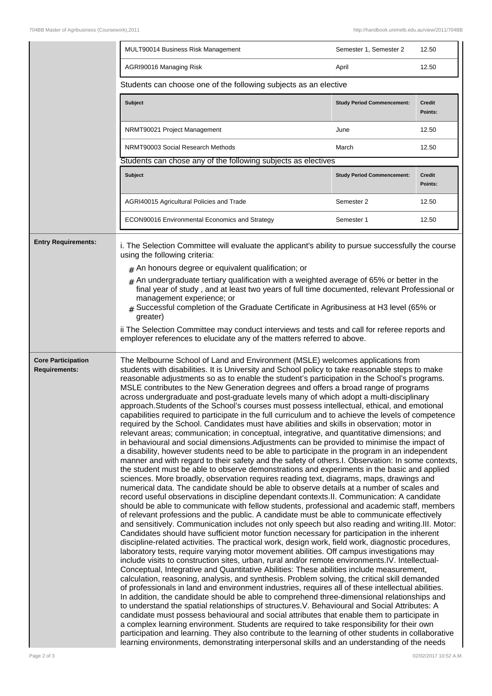|                                                   | MULT90014 Business Risk Management                                                                                                                                                                                                                                                                                                                                                                                                                                                                                                                                                                                                                                                                                                                                                                                                                                                                                                                                                                                                                                                                                                                                                                                                                                                                                                                                                                                                                                                                                                                                                                                                                                                                                                                                                                                                                                                                                                                                                                                                                                                                                                                                                                                                                                                                                                                                                                                                                                                                                                                                                                                                                                                                                                                                                                                                                                                                                                                                                                                                                                                                                                                                                  | Semester 1, Semester 2            | 12.50                    |  |
|---------------------------------------------------|-------------------------------------------------------------------------------------------------------------------------------------------------------------------------------------------------------------------------------------------------------------------------------------------------------------------------------------------------------------------------------------------------------------------------------------------------------------------------------------------------------------------------------------------------------------------------------------------------------------------------------------------------------------------------------------------------------------------------------------------------------------------------------------------------------------------------------------------------------------------------------------------------------------------------------------------------------------------------------------------------------------------------------------------------------------------------------------------------------------------------------------------------------------------------------------------------------------------------------------------------------------------------------------------------------------------------------------------------------------------------------------------------------------------------------------------------------------------------------------------------------------------------------------------------------------------------------------------------------------------------------------------------------------------------------------------------------------------------------------------------------------------------------------------------------------------------------------------------------------------------------------------------------------------------------------------------------------------------------------------------------------------------------------------------------------------------------------------------------------------------------------------------------------------------------------------------------------------------------------------------------------------------------------------------------------------------------------------------------------------------------------------------------------------------------------------------------------------------------------------------------------------------------------------------------------------------------------------------------------------------------------------------------------------------------------------------------------------------------------------------------------------------------------------------------------------------------------------------------------------------------------------------------------------------------------------------------------------------------------------------------------------------------------------------------------------------------------------------------------------------------------------------------------------------------------|-----------------------------------|--------------------------|--|
|                                                   | AGRI90016 Managing Risk                                                                                                                                                                                                                                                                                                                                                                                                                                                                                                                                                                                                                                                                                                                                                                                                                                                                                                                                                                                                                                                                                                                                                                                                                                                                                                                                                                                                                                                                                                                                                                                                                                                                                                                                                                                                                                                                                                                                                                                                                                                                                                                                                                                                                                                                                                                                                                                                                                                                                                                                                                                                                                                                                                                                                                                                                                                                                                                                                                                                                                                                                                                                                             | April                             | 12.50                    |  |
|                                                   | Students can choose one of the following subjects as an elective                                                                                                                                                                                                                                                                                                                                                                                                                                                                                                                                                                                                                                                                                                                                                                                                                                                                                                                                                                                                                                                                                                                                                                                                                                                                                                                                                                                                                                                                                                                                                                                                                                                                                                                                                                                                                                                                                                                                                                                                                                                                                                                                                                                                                                                                                                                                                                                                                                                                                                                                                                                                                                                                                                                                                                                                                                                                                                                                                                                                                                                                                                                    |                                   |                          |  |
|                                                   | <b>Subject</b>                                                                                                                                                                                                                                                                                                                                                                                                                                                                                                                                                                                                                                                                                                                                                                                                                                                                                                                                                                                                                                                                                                                                                                                                                                                                                                                                                                                                                                                                                                                                                                                                                                                                                                                                                                                                                                                                                                                                                                                                                                                                                                                                                                                                                                                                                                                                                                                                                                                                                                                                                                                                                                                                                                                                                                                                                                                                                                                                                                                                                                                                                                                                                                      | <b>Study Period Commencement:</b> | <b>Credit</b><br>Points: |  |
|                                                   | NRMT90021 Project Management                                                                                                                                                                                                                                                                                                                                                                                                                                                                                                                                                                                                                                                                                                                                                                                                                                                                                                                                                                                                                                                                                                                                                                                                                                                                                                                                                                                                                                                                                                                                                                                                                                                                                                                                                                                                                                                                                                                                                                                                                                                                                                                                                                                                                                                                                                                                                                                                                                                                                                                                                                                                                                                                                                                                                                                                                                                                                                                                                                                                                                                                                                                                                        | June                              | 12.50                    |  |
|                                                   | NRMT90003 Social Research Methods                                                                                                                                                                                                                                                                                                                                                                                                                                                                                                                                                                                                                                                                                                                                                                                                                                                                                                                                                                                                                                                                                                                                                                                                                                                                                                                                                                                                                                                                                                                                                                                                                                                                                                                                                                                                                                                                                                                                                                                                                                                                                                                                                                                                                                                                                                                                                                                                                                                                                                                                                                                                                                                                                                                                                                                                                                                                                                                                                                                                                                                                                                                                                   | March                             | 12.50                    |  |
|                                                   | Students can chose any of the following subjects as electives                                                                                                                                                                                                                                                                                                                                                                                                                                                                                                                                                                                                                                                                                                                                                                                                                                                                                                                                                                                                                                                                                                                                                                                                                                                                                                                                                                                                                                                                                                                                                                                                                                                                                                                                                                                                                                                                                                                                                                                                                                                                                                                                                                                                                                                                                                                                                                                                                                                                                                                                                                                                                                                                                                                                                                                                                                                                                                                                                                                                                                                                                                                       |                                   |                          |  |
|                                                   | <b>Subject</b>                                                                                                                                                                                                                                                                                                                                                                                                                                                                                                                                                                                                                                                                                                                                                                                                                                                                                                                                                                                                                                                                                                                                                                                                                                                                                                                                                                                                                                                                                                                                                                                                                                                                                                                                                                                                                                                                                                                                                                                                                                                                                                                                                                                                                                                                                                                                                                                                                                                                                                                                                                                                                                                                                                                                                                                                                                                                                                                                                                                                                                                                                                                                                                      | <b>Study Period Commencement:</b> | <b>Credit</b><br>Points: |  |
|                                                   | AGRI40015 Agricultural Policies and Trade                                                                                                                                                                                                                                                                                                                                                                                                                                                                                                                                                                                                                                                                                                                                                                                                                                                                                                                                                                                                                                                                                                                                                                                                                                                                                                                                                                                                                                                                                                                                                                                                                                                                                                                                                                                                                                                                                                                                                                                                                                                                                                                                                                                                                                                                                                                                                                                                                                                                                                                                                                                                                                                                                                                                                                                                                                                                                                                                                                                                                                                                                                                                           | Semester 2                        | 12.50                    |  |
|                                                   | ECON90016 Environmental Economics and Strategy                                                                                                                                                                                                                                                                                                                                                                                                                                                                                                                                                                                                                                                                                                                                                                                                                                                                                                                                                                                                                                                                                                                                                                                                                                                                                                                                                                                                                                                                                                                                                                                                                                                                                                                                                                                                                                                                                                                                                                                                                                                                                                                                                                                                                                                                                                                                                                                                                                                                                                                                                                                                                                                                                                                                                                                                                                                                                                                                                                                                                                                                                                                                      | Semester 1                        | 12.50                    |  |
| <b>Entry Requirements:</b>                        | i. The Selection Committee will evaluate the applicant's ability to pursue successfully the course<br>using the following criteria:<br>$#$ An honours degree or equivalent qualification; or                                                                                                                                                                                                                                                                                                                                                                                                                                                                                                                                                                                                                                                                                                                                                                                                                                                                                                                                                                                                                                                                                                                                                                                                                                                                                                                                                                                                                                                                                                                                                                                                                                                                                                                                                                                                                                                                                                                                                                                                                                                                                                                                                                                                                                                                                                                                                                                                                                                                                                                                                                                                                                                                                                                                                                                                                                                                                                                                                                                        |                                   |                          |  |
|                                                   | $*$ An undergraduate tertiary qualification with a weighted average of 65% or better in the<br>final year of study, and at least two years of full time documented, relevant Professional or<br>management experience; or<br>Successful completion of the Graduate Certificate in Agribusiness at H3 level (65% or<br>greater)<br>ii The Selection Committee may conduct interviews and tests and call for referee reports and<br>employer references to elucidate any of the matters referred to above.                                                                                                                                                                                                                                                                                                                                                                                                                                                                                                                                                                                                                                                                                                                                                                                                                                                                                                                                                                                                                                                                                                                                                                                                                                                                                                                                                                                                                                                                                                                                                                                                                                                                                                                                                                                                                                                                                                                                                                                                                                                                                                                                                                                                                                                                                                                                                                                                                                                                                                                                                                                                                                                                            |                                   |                          |  |
| <b>Core Participation</b><br><b>Requirements:</b> | The Melbourne School of Land and Environment (MSLE) welcomes applications from<br>students with disabilities. It is University and School policy to take reasonable steps to make<br>reasonable adjustments so as to enable the student's participation in the School's programs.<br>MSLE contributes to the New Generation degrees and offers a broad range of programs<br>across undergraduate and post-graduate levels many of which adopt a multi-disciplinary<br>approach.Students of the School's courses must possess intellectual, ethical, and emotional<br>capabilities required to participate in the full curriculum and to achieve the levels of competence<br>required by the School. Candidates must have abilities and skills in observation; motor in<br>relevant areas; communication; in conceptual, integrative, and quantitative dimensions; and<br>in behavioural and social dimensions. Adjustments can be provided to minimise the impact of<br>a disability, however students need to be able to participate in the program in an independent<br>manner and with regard to their safety and the safety of others. I. Observation: In some contexts,<br>the student must be able to observe demonstrations and experiments in the basic and applied<br>sciences. More broadly, observation requires reading text, diagrams, maps, drawings and<br>numerical data. The candidate should be able to observe details at a number of scales and<br>record useful observations in discipline dependant contexts. II. Communication: A candidate<br>should be able to communicate with fellow students, professional and academic staff, members<br>of relevant professions and the public. A candidate must be able to communicate effectively<br>and sensitively. Communication includes not only speech but also reading and writing. III. Motor:<br>Candidates should have sufficient motor function necessary for participation in the inherent<br>discipline-related activities. The practical work, design work, field work, diagnostic procedures,<br>laboratory tests, require varying motor movement abilities. Off campus investigations may<br>include visits to construction sites, urban, rural and/or remote environments.IV. Intellectual-<br>Conceptual, Integrative and Quantitative Abilities: These abilities include measurement,<br>calculation, reasoning, analysis, and synthesis. Problem solving, the critical skill demanded<br>of professionals in land and environment industries, requires all of these intellectual abilities.<br>In addition, the candidate should be able to comprehend three-dimensional relationships and<br>to understand the spatial relationships of structures. V. Behavioural and Social Attributes: A<br>candidate must possess behavioural and social attributes that enable them to participate in<br>a complex learning environment. Students are required to take responsibility for their own<br>participation and learning. They also contribute to the learning of other students in collaborative<br>learning environments, demonstrating interpersonal skills and an understanding of the needs |                                   |                          |  |